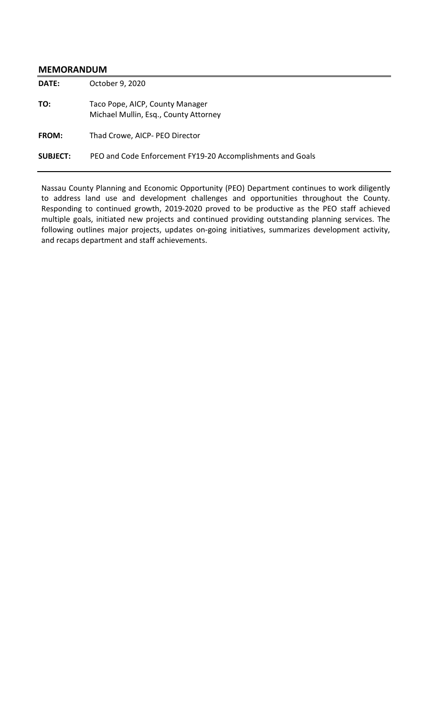#### **MEMORANDUM**

**DATE:** October 9, 2020 **TO:** Taco Pope, AICP, County Manager Michael Mullin, Esq., County Attorney **FROM:** Thad Crowe, AICP- PEO Director **SUBJECT:** PEO and Code Enforcement FY19-20 Accomplishments and Goals

Nassau County Planning and Economic Opportunity (PEO) Department continues to work diligently to address land use and development challenges and opportunities throughout the County. Responding to continued growth, 2019-2020 proved to be productive as the PEO staff achieved multiple goals, initiated new projects and continued providing outstanding planning services. The following outlines major projects, updates on-going initiatives, summarizes development activity, and recaps department and staff achievements.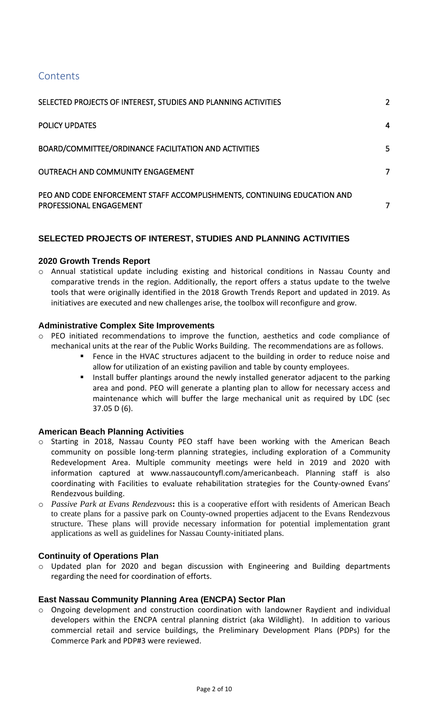# **Contents**

| SELECTED PROJECTS OF INTEREST, STUDIES AND PLANNING ACTIVITIES                                      | 2 |
|-----------------------------------------------------------------------------------------------------|---|
| <b>POLICY UPDATES</b>                                                                               | 4 |
| BOARD/COMMITTEE/ORDINANCE FACILITATION AND ACTIVITIES                                               | 5 |
| <b>OUTREACH AND COMMUNITY ENGAGEMENT</b>                                                            | 7 |
| PEO AND CODE ENFORCEMENT STAFF ACCOMPLISHMENTS, CONTINUING EDUCATION AND<br>PROFESSIONAL ENGAGEMENT | 7 |

# <span id="page-1-0"></span>**SELECTED PROJECTS OF INTEREST, STUDIES AND PLANNING ACTIVITIES**

# **2020 Growth Trends Report**

o Annual statistical update including existing and historical conditions in Nassau County and comparative trends in the region. Additionally, the report offers a status update to the twelve tools that were originally identified in the 2018 Growth Trends Report and updated in 2019. As initiatives are executed and new challenges arise, the toolbox will reconfigure and grow.

# **Administrative Complex Site Improvements**

- o PEO initiated recommendations to improve the function, aesthetics and code compliance of mechanical units at the rear of the Public Works Building. The recommendations are as follows.
	- Fence in the HVAC structures adjacent to the building in order to reduce noise and allow for utilization of an existing pavilion and table by county employees.
	- Install buffer plantings around the newly installed generator adjacent to the parking area and pond. PEO will generate a planting plan to allow for necessary access and maintenance which will buffer the large mechanical unit as required by LDC (sec 37.05 D (6).

#### **American Beach Planning Activities**

- o Starting in 2018, Nassau County PEO staff have been working with the American Beach community on possible long-term planning strategies, including exploration of a Community Redevelopment Area. Multiple community meetings were held in 2019 and 2020 with information captured at [www.nassaucountyfl.com/americanbeach.](http://www.nassaucountyfl.com/americanbeach) Planning staff is also coordinating with Facilities to evaluate rehabilitation strategies for the County-owned Evans' Rendezvous building.
- o *Passive Park at Evans Rendezvous***:** this is a cooperative effort with residents of American Beach to create plans for a passive park on County-owned properties adjacent to the Evans Rendezvous structure. These plans will provide necessary information for potential implementation grant applications as well as guidelines for Nassau County-initiated plans.

#### **Continuity of Operations Plan**

o Updated plan for 2020 and began discussion with Engineering and Building departments regarding the need for coordination of efforts.

#### **East Nassau Community Planning Area (ENCPA) Sector Plan**

o Ongoing development and construction coordination with landowner Raydient and individual developers within the ENCPA central planning district (aka Wildlight). In addition to various commercial retail and service buildings, the Preliminary Development Plans (PDPs) for the Commerce Park and PDP#3 were reviewed.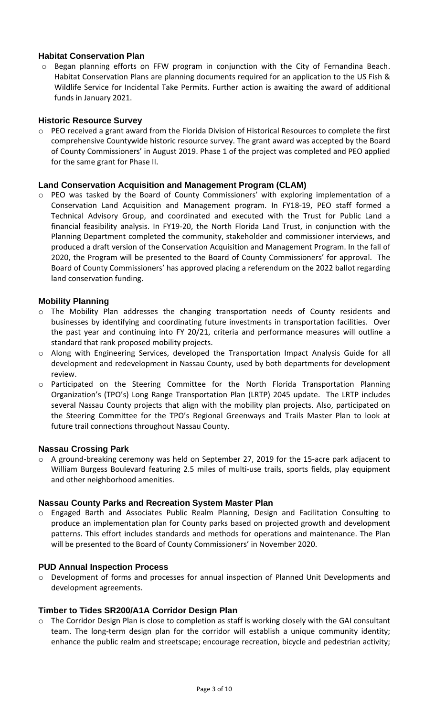# **Habitat Conservation Plan**

o Began planning efforts on FFW program in conjunction with the City of Fernandina Beach. Habitat Conservation Plans are planning documents required for an application to the US Fish & Wildlife Service for Incidental Take Permits. Further action is awaiting the award of additional funds in January 2021.

#### **Historic Resource Survey**

o PEO received a grant award from the Florida Division of Historical Resources to complete the first comprehensive Countywide historic resource survey. The grant award was accepted by the Board of County Commissioners' in August 2019. Phase 1 of the project was completed and PEO applied for the same grant for Phase II.

# **Land Conservation Acquisition and Management Program (CLAM)**

o PEO was tasked by the Board of County Commissioners' with exploring implementation of a Conservation Land Acquisition and Management program. In FY18-19, PEO staff formed a Technical Advisory Group, and coordinated and executed with the Trust for Public Land a financial feasibility analysis. In FY19-20, the North Florida Land Trust, in conjunction with the Planning Department completed the community, stakeholder and commissioner interviews, and produced a draft version of the Conservation Acquisition and Management Program. In the fall of 2020, the Program will be presented to the Board of County Commissioners' for approval. The Board of County Commissioners' has approved placing a referendum on the 2022 ballot regarding land conservation funding.

# **Mobility Planning**

- o The Mobility Plan addresses the changing transportation needs of County residents and businesses by identifying and coordinating future investments in transportation facilities. Over the past year and continuing into FY 20/21, criteria and performance measures will outline a standard that rank proposed mobility projects.
- o Along with Engineering Services, developed the Transportation Impact Analysis Guide for all development and redevelopment in Nassau County, used by both departments for development review.
- o Participated on the Steering Committee for the North Florida Transportation Planning Organization's (TPO's) Long Range Transportation Plan (LRTP) 2045 update. The LRTP includes several Nassau County projects that align with the mobility plan projects. Also, participated on the Steering Committee for the TPO's Regional Greenways and Trails Master Plan to look at future trail connections throughout Nassau County.

#### **Nassau Crossing Park**

o A ground-breaking ceremony was held on September 27, 2019 for the 15-acre park adjacent to William Burgess Boulevard featuring 2.5 miles of multi-use trails, sports fields, play equipment and other neighborhood amenities.

#### **Nassau County Parks and Recreation System Master Plan**

o Engaged Barth and Associates Public Realm Planning, Design and Facilitation Consulting to produce an implementation plan for County parks based on projected growth and development patterns. This effort includes standards and methods for operations and maintenance. The Plan will be presented to the Board of County Commissioners' in November 2020.

#### **PUD Annual Inspection Process**

o Development of forms and processes for annual inspection of Planned Unit Developments and development agreements.

#### **Timber to Tides SR200/A1A Corridor Design Plan**

 $\circ$  The Corridor Design Plan is close to completion as staff is working closely with the GAI consultant team. The long-term design plan for the corridor will establish a unique community identity; enhance the public realm and streetscape; encourage recreation, bicycle and pedestrian activity;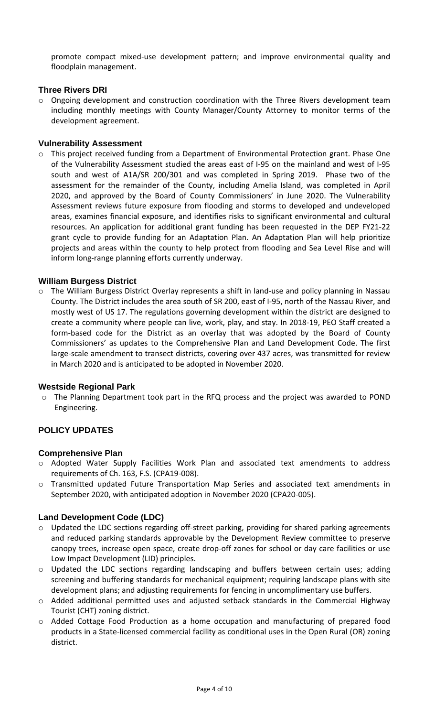promote compact mixed-use development pattern; and improve environmental quality and floodplain management.

# **Three Rivers DRI**

 $\circ$  Ongoing development and construction coordination with the Three Rivers development team including monthly meetings with County Manager/County Attorney to monitor terms of the development agreement.

### **Vulnerability Assessment**

o This project received funding from a Department of Environmental Protection grant. Phase One of the Vulnerability Assessment studied the areas east of I-95 on the mainland and west of I-95 south and west of A1A/SR 200/301 and was completed in Spring 2019. Phase two of the assessment for the remainder of the County, including Amelia Island, was completed in April 2020, and approved by the Board of County Commissioners' in June 2020. The Vulnerability Assessment reviews future exposure from flooding and storms to developed and undeveloped areas, examines financial exposure, and identifies risks to significant environmental and cultural resources. An application for additional grant funding has been requested in the DEP FY21-22 grant cycle to provide funding for an Adaptation Plan. An Adaptation Plan will help prioritize projects and areas within the county to help protect from flooding and Sea Level Rise and will inform long-range planning efforts currently underway.

# **William Burgess District**

o The William Burgess District Overlay represents a shift in land-use and policy planning in Nassau County. The District includes the area south of SR 200, east of I-95, north of the Nassau River, and mostly west of US 17. The regulations governing development within the district are designed to create a community where people can live, work, play, and stay. In 2018-19, PEO Staff created a form-based code for the District as an overlay that was adopted by the Board of County Commissioners' as updates to the Comprehensive Plan and Land Development Code. The first large-scale amendment to transect districts, covering over 437 acres, was transmitted for review in March 2020 and is anticipated to be adopted in November 2020.

#### **Westside Regional Park**

o The Planning Department took part in the RFQ process and the project was awarded to POND Engineering.

# <span id="page-3-0"></span>**POLICY UPDATES**

#### **Comprehensive Plan**

- o Adopted Water Supply Facilities Work Plan and associated text amendments to address requirements of Ch. 163, F.S. (CPA19-008).
- o Transmitted updated Future Transportation Map Series and associated text amendments in September 2020, with anticipated adoption in November 2020 (CPA20-005).

#### **Land Development Code (LDC)**

- o Updated the LDC sections regarding off-street parking, providing for shared parking agreements and reduced parking standards approvable by the Development Review committee to preserve canopy trees, increase open space, create drop-off zones for school or day care facilities or use Low Impact Development (LID) principles.
- o Updated the LDC sections regarding landscaping and buffers between certain uses; adding screening and buffering standards for mechanical equipment; requiring landscape plans with site development plans; and adjusting requirements for fencing in uncomplimentary use buffers.
- o Added additional permitted uses and adjusted setback standards in the Commercial Highway Tourist (CHT) zoning district.
- o Added Cottage Food Production as a home occupation and manufacturing of prepared food products in a State-licensed commercial facility as conditional uses in the Open Rural (OR) zoning district.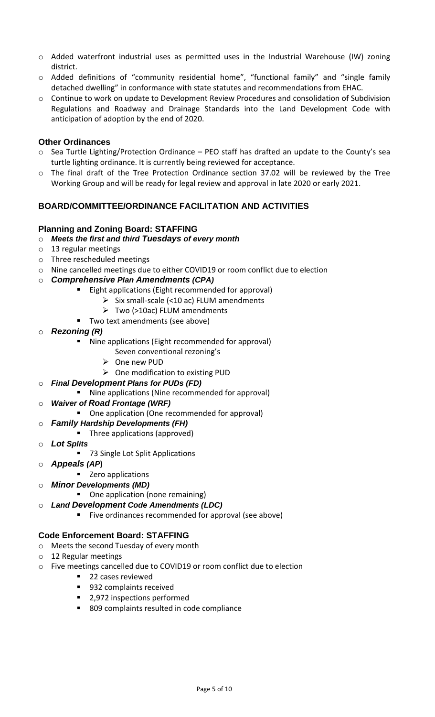- o Added waterfront industrial uses as permitted uses in the Industrial Warehouse (IW) zoning district.
- o Added definitions of "community residential home", "functional family" and "single family detached dwelling" in conformance with state statutes and recommendations from EHAC.
- o Continue to work on update to Development Review Procedures and consolidation of Subdivision Regulations and Roadway and Drainage Standards into the Land Development Code with anticipation of adoption by the end of 2020.

# **Other Ordinances**

- o Sea Turtle Lighting/Protection Ordinance PEO staff has drafted an update to the County's sea turtle lighting ordinance. It is currently being reviewed for acceptance.
- o The final draft of the Tree Protection Ordinance section 37.02 will be reviewed by the Tree Working Group and will be ready for legal review and approval in late 2020 or early 2021.

# <span id="page-4-0"></span>**BOARD/COMMITTEE/ORDINANCE FACILITATION AND ACTIVITIES**

# **Planning and Zoning Board: STAFFING**

- o *Meets the first and third Tuesdays of every month*
- o 13 regular meetings
- o Three rescheduled meetings
- o Nine cancelled meetings due to either COVID19 or room conflict due to election

#### o *Comprehensive Plan Amendments (CPA)*

- Eight applications (Eight recommended for approval)
	- $\triangleright$  Six small-scale (<10 ac) FLUM amendments
	- ➢ Two (>10ac) FLUM amendments
- Two text amendments (see above)
- o *Rezoning (R)*
	- Nine applications (Eight recommended for approval)
		- Seven conventional rezoning's
		- ➢ One new PUD
		- ➢ One modification to existing PUD
- o *Final Development Plans for PUDs (FD)*
	- Nine applications (Nine recommended for approval)

#### o *Waiver of Road Frontage (WRF)*

- One application (One recommended for approval)
- o *Family Hardship Developments (FH)*
- Three applications (approved)
- o *Lot Splits*
	- 73 Single Lot Split Applications
- o *Appeals (AP***)**
	- Zero applications
- o *Minor Developments (MD)*
	- One application (none remaining)
- o *Land Development Code Amendments (LDC)*
	- Five ordinances recommended for approval (see above)

#### **Code Enforcement Board: STAFFING**

- o Meets the second Tuesday of every month
- o 12 Regular meetings
- o Five meetings cancelled due to COVID19 or room conflict due to election
	- 22 cases reviewed
	- 932 complaints received
	- 2,972 inspections performed
	- 809 complaints resulted in code compliance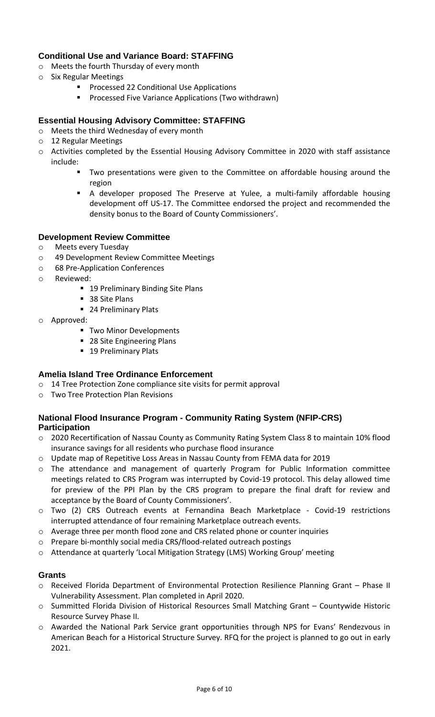# **Conditional Use and Variance Board: STAFFING**

- o Meets the fourth Thursday of every month
- o Six Regular Meetings
	- Processed 22 Conditional Use Applications
	- Processed Five Variance Applications (Two withdrawn)

# **Essential Housing Advisory Committee: STAFFING**

- o Meets the third Wednesday of every month
- o 12 Regular Meetings
- o Activities completed by the Essential Housing Advisory Committee in 2020 with staff assistance include:
	- Two presentations were given to the Committee on affordable housing around the region
	- A developer proposed The Preserve at Yulee, a multi-family affordable housing development off US-17. The Committee endorsed the project and recommended the density bonus to the Board of County Commissioners'.

#### **Development Review Committee**

- o Meets every Tuesday
- o 49 Development Review Committee Meetings
- o 68 Pre-Application Conferences
- o Reviewed:
	- 19 Preliminary Binding Site Plans
	- 38 Site Plans
	- 24 Preliminary Plats
- o Approved:
	- **Two Minor Developments**
	- 28 Site Engineering Plans
	- 19 Preliminary Plats

# **Amelia Island Tree Ordinance Enforcement**

- o 14 Tree Protection Zone compliance site visits for permit approval
- o Two Tree Protection Plan Revisions

# **National Flood Insurance Program - Community Rating System (NFIP-CRS) Participation**

- o 2020 Recertification of Nassau County as Community Rating System Class 8 to maintain 10% flood insurance savings for all residents who purchase flood insurance
- o Update map of Repetitive Loss Areas in Nassau County from FEMA data for 2019
- o The attendance and management of quarterly Program for Public Information committee meetings related to CRS Program was interrupted by Covid-19 protocol. This delay allowed time for preview of the PPI Plan by the CRS program to prepare the final draft for review and acceptance by the Board of County Commissioners'.
- o Two (2) CRS Outreach events at Fernandina Beach Marketplace Covid-19 restrictions interrupted attendance of four remaining Marketplace outreach events.
- o Average three per month flood zone and CRS related phone or counter inquiries
- o Prepare bi-monthly social media CRS/flood-related outreach postings
- o Attendance at quarterly 'Local Mitigation Strategy (LMS) Working Group' meeting

#### **Grants**

- o Received Florida Department of Environmental Protection Resilience Planning Grant Phase II Vulnerability Assessment. Plan completed in April 2020.
- o Summitted Florida Division of Historical Resources Small Matching Grant Countywide Historic Resource Survey Phase II.
- o Awarded the National Park Service grant opportunities through NPS for Evans' Rendezvous in American Beach for a Historical Structure Survey. RFQ for the project is planned to go out in early 2021.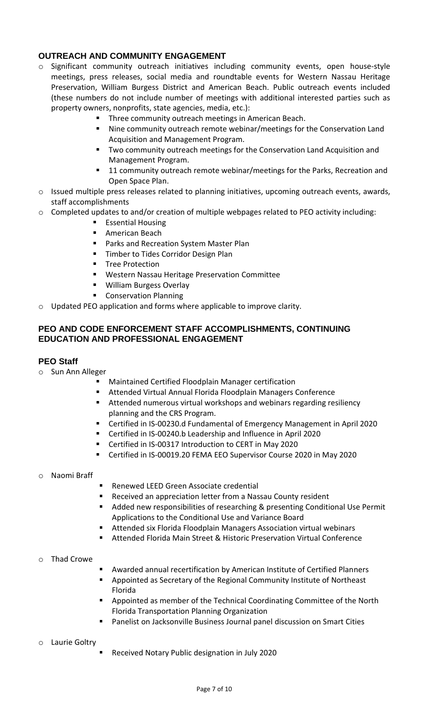# <span id="page-6-0"></span>**OUTREACH AND COMMUNITY ENGAGEMENT**

- o Significant community outreach initiatives including community events, open house-style meetings, press releases, social media and roundtable events for Western Nassau Heritage Preservation, William Burgess District and American Beach. Public outreach events included (these numbers do not include number of meetings with additional interested parties such as property owners, nonprofits, state agencies, media, etc.):
	- Three community outreach meetings in American Beach.
	- Nine community outreach remote webinar/meetings for the Conservation Land Acquisition and Management Program.
	- Two community outreach meetings for the Conservation Land Acquisition and Management Program.
	- 11 community outreach remote webinar/meetings for the Parks, Recreation and Open Space Plan.
- o Issued multiple press releases related to planning initiatives, upcoming outreach events, awards, staff accomplishments
- $\circ$  Completed updates to and/or creation of multiple webpages related to PEO activity including:
	- Essential Housing
	- American Beach
	- Parks and Recreation System Master Plan
	- Timber to Tides Corridor Design Plan
	- **Tree Protection**
	- Western Nassau Heritage Preservation Committee
	- William Burgess Overlay
	- Conservation Planning
- <span id="page-6-1"></span>o Updated PEO application and forms where applicable to improve clarity.

# **PEO AND CODE ENFORCEMENT STAFF ACCOMPLISHMENTS, CONTINUING EDUCATION AND PROFESSIONAL ENGAGEMENT**

### **PEO Staff**

- o Sun Ann Alleger
	- Maintained Certified Floodplain Manager certification
	- Attended Virtual Annual Florida Floodplain Managers Conference
	- Attended numerous virtual workshops and webinars regarding resiliency planning and the CRS Program.
	- Certified in IS-00230.d Fundamental of Emergency Management in April 2020
	- Certified in IS-00240.b Leadership and Influence in April 2020
	- Certified in IS-00317 Introduction to CERT in May 2020
	- Certified in IS-00019.20 FEMA EEO Supervisor Course 2020 in May 2020

#### o Naomi Braff

- Renewed LEED Green Associate credential
- Received an appreciation letter from a Nassau County resident
- Added new responsibilities of researching & presenting Conditional Use Permit Applications to the Conditional Use and Variance Board
- Attended six Florida Floodplain Managers Association virtual webinars
- Attended Florida Main Street & Historic Preservation Virtual Conference

#### **Thad Crowe**

- **EXED Awarded annual recertification by American Institute of Certified Planners**
- Appointed as Secretary of the Regional Community Institute of Northeast Florida
- Appointed as member of the Technical Coordinating Committee of the North Florida Transportation Planning Organization
- Panelist on Jacksonville Business Journal panel discussion on Smart Cities

#### Laurie Goltry

Received Notary Public designation in July 2020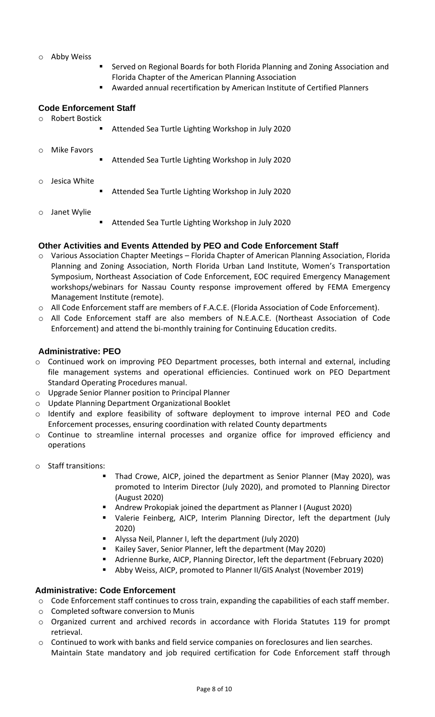#### Abby Weiss

- Served on Regional Boards for both Florida Planning and Zoning Association and Florida Chapter of the American Planning Association
- Awarded annual recertification by American Institute of Certified Planners

#### **Code Enforcement Staff**

o Robert Bostick

Attended Sea Turtle Lighting Workshop in July 2020

| $\circ$ Mike Favors  | $\blacksquare$ . | Attended Sea Turtle Lighting Workshop in July 2020 |
|----------------------|------------------|----------------------------------------------------|
| $\circ$ Jesica White | $\blacksquare$   | Attended Sea Turtle Lighting Workshop in July 2020 |

- Janet Wylie
- Attended Sea Turtle Lighting Workshop in July 2020

#### **Other Activities and Events Attended by PEO and Code Enforcement Staff**

- o Various Association Chapter Meetings Florida Chapter of American Planning Association, Florida Planning and Zoning Association, North Florida Urban Land Institute, Women's Transportation Symposium, Northeast Association of Code Enforcement, EOC required Emergency Management workshops/webinars for Nassau County response improvement offered by FEMA Emergency Management Institute (remote).
- o All Code Enforcement staff are members of F.A.C.E. (Florida Association of Code Enforcement).
- o All Code Enforcement staff are also members of N.E.A.C.E. (Northeast Association of Code Enforcement) and attend the bi-monthly training for Continuing Education credits.

#### **Administrative: PEO**

- o Continued work on improving PEO Department processes, both internal and external, including file management systems and operational efficiencies. Continued work on PEO Department Standard Operating Procedures manual.
- o Upgrade Senior Planner position to Principal Planner
- o Update Planning Department Organizational Booklet
- o Identify and explore feasibility of software deployment to improve internal PEO and Code Enforcement processes, ensuring coordination with related County departments
- o Continue to streamline internal processes and organize office for improved efficiency and operations
- o Staff transitions:
	- Thad Crowe, AICP, joined the department as Senior Planner (May 2020), was promoted to Interim Director (July 2020), and promoted to Planning Director (August 2020)
	- Andrew Prokopiak joined the department as Planner I (August 2020)
	- Valerie Feinberg, AICP, Interim Planning Director, left the department (July 2020)
	- Alyssa Neil, Planner I, left the department (July 2020)
	- Kailey Saver, Senior Planner, left the department (May 2020)
	- Adrienne Burke, AICP, Planning Director, left the department (February 2020)
	- Abby Weiss, AICP, promoted to Planner II/GIS Analyst (November 2019)

#### **Administrative: Code Enforcement**

- o Code Enforcement staff continues to cross train, expanding the capabilities of each staff member.
- o Completed software conversion to Munis
- o Organized current and archived records in accordance with Florida Statutes 119 for prompt retrieval.
- o Continued to work with banks and field service companies on foreclosures and lien searches. Maintain State mandatory and job required certification for Code Enforcement staff through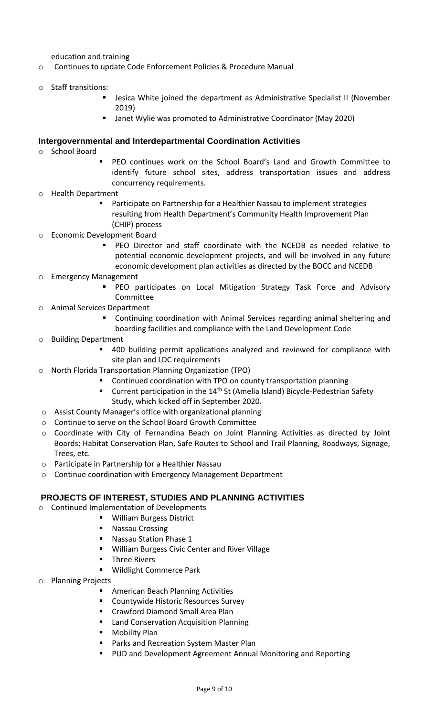education and training

- o Continues to update Code Enforcement Policies & Procedure Manual
- o Staff transitions:
	- Jesica White joined the department as Administrative Specialist II (November 2019)
	- Janet Wylie was promoted to Administrative Coordinator (May 2020)

#### **Intergovernmental and Interdepartmental Coordination Activities**

- o School Board
- PEO continues work on the School Board's Land and Growth Committee to identify future school sites, address transportation issues and address concurrency requirements.
- o Health Department
	- Participate on Partnership for a Healthier Nassau to implement strategies resulting from Health Department's Community Health Improvement Plan (CHIP) process
- o Economic Development Board
	- PEO Director and staff coordinate with the NCEDB as needed relative to potential economic development projects, and will be involved in any future economic development plan activities as directed by the BOCC and NCEDB
- o Emergency Management
	- PEO participates on Local Mitigation Strategy Task Force and Advisory Committee
- o Animal Services Department
	- Continuing coordination with Animal Services regarding animal sheltering and boarding facilities and compliance with the Land Development Code
- o Building Department
	- 400 building permit applications analyzed and reviewed for compliance with site plan and LDC requirements
- o North Florida Transportation Planning Organization (TPO)
	- Continued coordination with TPO on county transportation planning
	- Current participation in the 14<sup>th</sup> St (Amelia Island) Bicycle-Pedestrian Safety Study, which kicked off in September 2020.
- o Assist County Manager's office with organizational planning
- o Continue to serve on the School Board Growth Committee
- o Coordinate with City of Fernandina Beach on Joint Planning Activities as directed by Joint Boards; Habitat Conservation Plan, Safe Routes to School and Trail Planning, Roadways, Signage, Trees, etc.
- o Participate in Partnership for a Healthier Nassau
- o Continue coordination with Emergency Management Department

#### **PROJECTS OF INTEREST, STUDIES AND PLANNING ACTIVITIES**

- o Continued Implementation of Developments
	- William Burgess District
		- Nassau Crossing
		- **Nassau Station Phase 1**
		- William Burgess Civic Center and River Village
		- **Three Rivers**
		- Wildlight Commerce Park
- o Planning Projects
	- **American Beach Planning Activities**
	- Countywide Historic Resources Survey
	- Crawford Diamond Small Area Plan
	- Land Conservation Acquisition Planning
	- Mobility Plan
	- Parks and Recreation System Master Plan
	- PUD and Development Agreement Annual Monitoring and Reporting